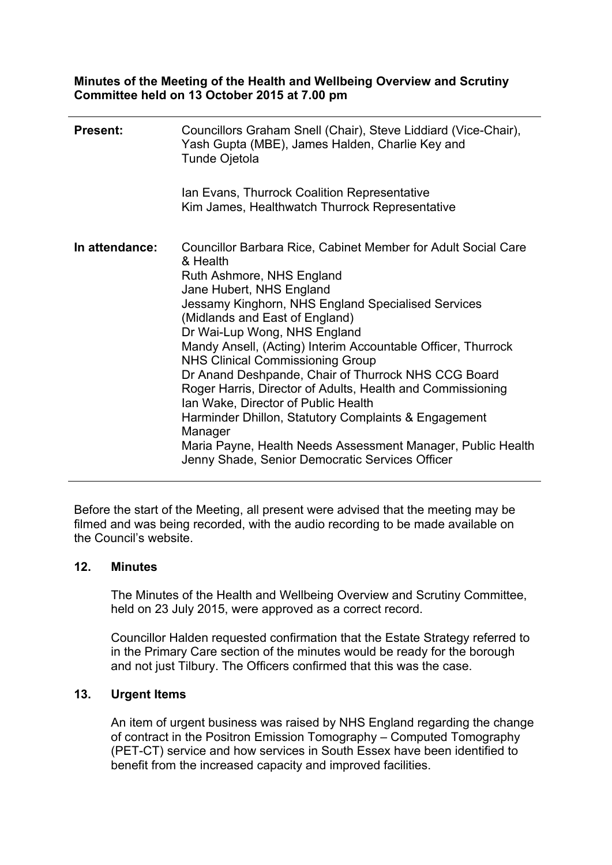**Minutes of the Meeting of the Health and Wellbeing Overview and Scrutiny Committee held on 13 October 2015 at 7.00 pm**

| <b>Present:</b> | Councillors Graham Snell (Chair), Steve Liddiard (Vice-Chair),<br>Yash Gupta (MBE), James Halden, Charlie Key and<br><b>Tunde Ojetola</b><br>Ian Evans, Thurrock Coalition Representative<br>Kim James, Healthwatch Thurrock Representative                                                                                                                                                                                                                                                                                                                                                                                                                                                                            |
|-----------------|------------------------------------------------------------------------------------------------------------------------------------------------------------------------------------------------------------------------------------------------------------------------------------------------------------------------------------------------------------------------------------------------------------------------------------------------------------------------------------------------------------------------------------------------------------------------------------------------------------------------------------------------------------------------------------------------------------------------|
| In attendance:  | Councillor Barbara Rice, Cabinet Member for Adult Social Care<br>& Health<br>Ruth Ashmore, NHS England<br>Jane Hubert, NHS England<br>Jessamy Kinghorn, NHS England Specialised Services<br>(Midlands and East of England)<br>Dr Wai-Lup Wong, NHS England<br>Mandy Ansell, (Acting) Interim Accountable Officer, Thurrock<br><b>NHS Clinical Commissioning Group</b><br>Dr Anand Deshpande, Chair of Thurrock NHS CCG Board<br>Roger Harris, Director of Adults, Health and Commissioning<br>Ian Wake, Director of Public Health<br>Harminder Dhillon, Statutory Complaints & Engagement<br>Manager<br>Maria Payne, Health Needs Assessment Manager, Public Health<br>Jenny Shade, Senior Democratic Services Officer |

Before the start of the Meeting, all present were advised that the meeting may be filmed and was being recorded, with the audio recording to be made available on the Council's website.

#### **12. Minutes**

The Minutes of the Health and Wellbeing Overview and Scrutiny Committee, held on 23 July 2015, were approved as a correct record.

Councillor Halden requested confirmation that the Estate Strategy referred to in the Primary Care section of the minutes would be ready for the borough and not just Tilbury. The Officers confirmed that this was the case.

#### **13. Urgent Items**

An item of urgent business was raised by NHS England regarding the change of contract in the Positron Emission Tomography – Computed Tomography (PET-CT) service and how services in South Essex have been identified to benefit from the increased capacity and improved facilities.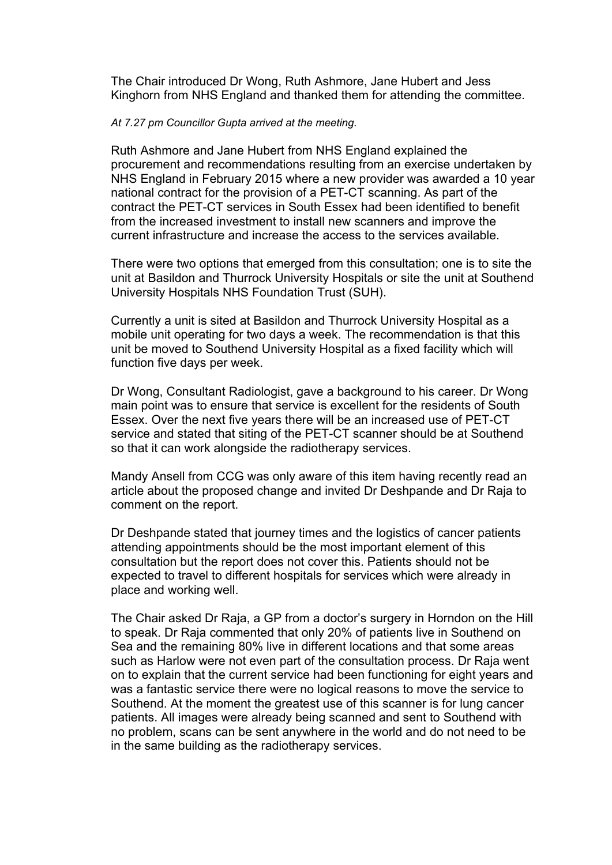The Chair introduced Dr Wong, Ruth Ashmore, Jane Hubert and Jess Kinghorn from NHS England and thanked them for attending the committee.

#### *At 7.27 pm Councillor Gupta arrived at the meeting.*

Ruth Ashmore and Jane Hubert from NHS England explained the procurement and recommendations resulting from an exercise undertaken by NHS England in February 2015 where a new provider was awarded a 10 year national contract for the provision of a PET-CT scanning. As part of the contract the PET-CT services in South Essex had been identified to benefit from the increased investment to install new scanners and improve the current infrastructure and increase the access to the services available.

There were two options that emerged from this consultation; one is to site the unit at Basildon and Thurrock University Hospitals or site the unit at Southend University Hospitals NHS Foundation Trust (SUH).

Currently a unit is sited at Basildon and Thurrock University Hospital as a mobile unit operating for two days a week. The recommendation is that this unit be moved to Southend University Hospital as a fixed facility which will function five days per week.

Dr Wong, Consultant Radiologist, gave a background to his career. Dr Wong main point was to ensure that service is excellent for the residents of South Essex. Over the next five years there will be an increased use of PET-CT service and stated that siting of the PET-CT scanner should be at Southend so that it can work alongside the radiotherapy services.

Mandy Ansell from CCG was only aware of this item having recently read an article about the proposed change and invited Dr Deshpande and Dr Raja to comment on the report.

Dr Deshpande stated that journey times and the logistics of cancer patients attending appointments should be the most important element of this consultation but the report does not cover this. Patients should not be expected to travel to different hospitals for services which were already in place and working well.

The Chair asked Dr Raja, a GP from a doctor's surgery in Horndon on the Hill to speak. Dr Raja commented that only 20% of patients live in Southend on Sea and the remaining 80% live in different locations and that some areas such as Harlow were not even part of the consultation process. Dr Raja went on to explain that the current service had been functioning for eight years and was a fantastic service there were no logical reasons to move the service to Southend. At the moment the greatest use of this scanner is for lung cancer patients. All images were already being scanned and sent to Southend with no problem, scans can be sent anywhere in the world and do not need to be in the same building as the radiotherapy services.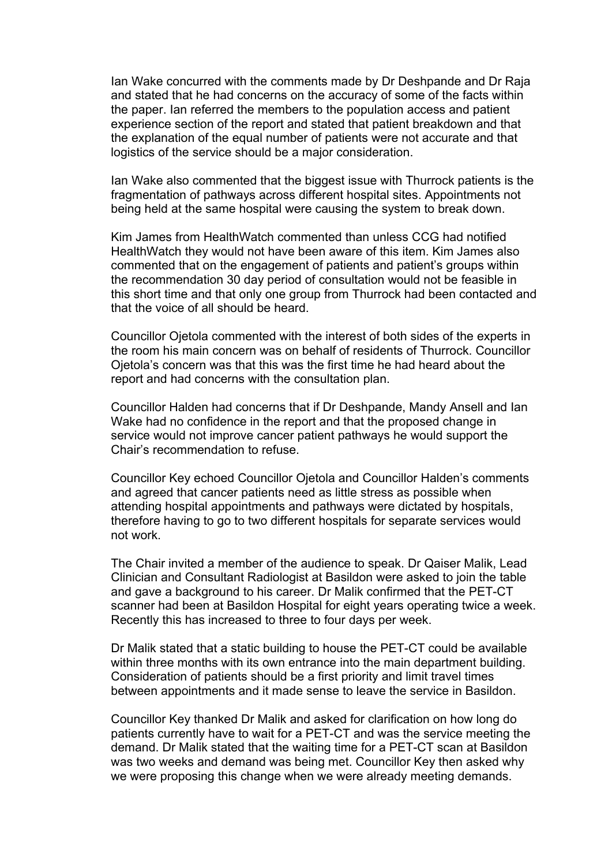Ian Wake concurred with the comments made by Dr Deshpande and Dr Raja and stated that he had concerns on the accuracy of some of the facts within the paper. Ian referred the members to the population access and patient experience section of the report and stated that patient breakdown and that the explanation of the equal number of patients were not accurate and that logistics of the service should be a major consideration.

Ian Wake also commented that the biggest issue with Thurrock patients is the fragmentation of pathways across different hospital sites. Appointments not being held at the same hospital were causing the system to break down.

Kim James from HealthWatch commented than unless CCG had notified HealthWatch they would not have been aware of this item. Kim James also commented that on the engagement of patients and patient's groups within the recommendation 30 day period of consultation would not be feasible in this short time and that only one group from Thurrock had been contacted and that the voice of all should be heard.

Councillor Ojetola commented with the interest of both sides of the experts in the room his main concern was on behalf of residents of Thurrock. Councillor Ojetola's concern was that this was the first time he had heard about the report and had concerns with the consultation plan.

Councillor Halden had concerns that if Dr Deshpande, Mandy Ansell and Ian Wake had no confidence in the report and that the proposed change in service would not improve cancer patient pathways he would support the Chair's recommendation to refuse.

Councillor Key echoed Councillor Ojetola and Councillor Halden's comments and agreed that cancer patients need as little stress as possible when attending hospital appointments and pathways were dictated by hospitals, therefore having to go to two different hospitals for separate services would not work.

The Chair invited a member of the audience to speak. Dr Qaiser Malik, Lead Clinician and Consultant Radiologist at Basildon were asked to join the table and gave a background to his career. Dr Malik confirmed that the PET-CT scanner had been at Basildon Hospital for eight years operating twice a week. Recently this has increased to three to four days per week.

Dr Malik stated that a static building to house the PET-CT could be available within three months with its own entrance into the main department building. Consideration of patients should be a first priority and limit travel times between appointments and it made sense to leave the service in Basildon.

Councillor Key thanked Dr Malik and asked for clarification on how long do patients currently have to wait for a PET-CT and was the service meeting the demand. Dr Malik stated that the waiting time for a PET-CT scan at Basildon was two weeks and demand was being met. Councillor Key then asked why we were proposing this change when we were already meeting demands.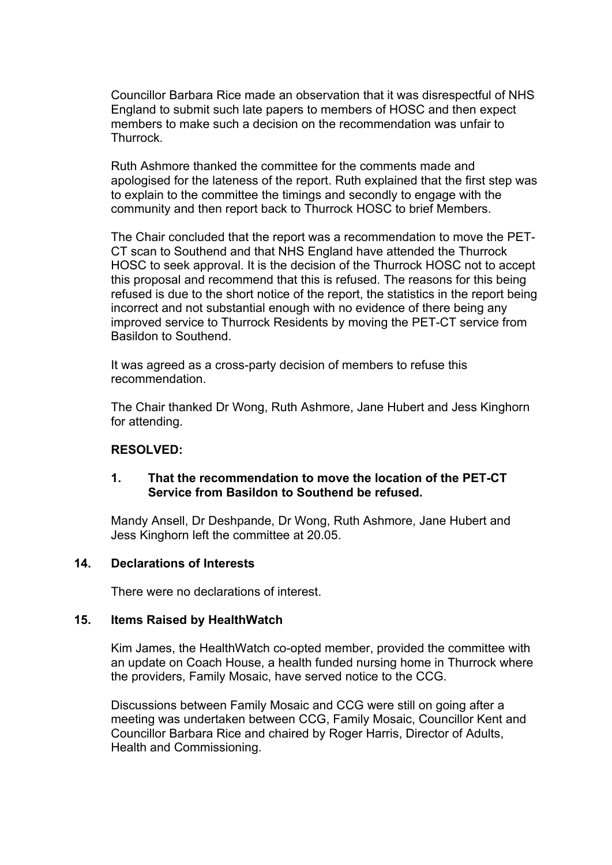Councillor Barbara Rice made an observation that it was disrespectful of NHS England to submit such late papers to members of HOSC and then expect members to make such a decision on the recommendation was unfair to Thurrock.

Ruth Ashmore thanked the committee for the comments made and apologised for the lateness of the report. Ruth explained that the first step was to explain to the committee the timings and secondly to engage with the community and then report back to Thurrock HOSC to brief Members.

The Chair concluded that the report was a recommendation to move the PET-CT scan to Southend and that NHS England have attended the Thurrock HOSC to seek approval. It is the decision of the Thurrock HOSC not to accept this proposal and recommend that this is refused. The reasons for this being refused is due to the short notice of the report, the statistics in the report being incorrect and not substantial enough with no evidence of there being any improved service to Thurrock Residents by moving the PET-CT service from Basildon to Southend.

It was agreed as a cross-party decision of members to refuse this recommendation.

The Chair thanked Dr Wong, Ruth Ashmore, Jane Hubert and Jess Kinghorn for attending.

## **RESOLVED:**

## **1. That the recommendation to move the location of the PET-CT Service from Basildon to Southend be refused.**

Mandy Ansell, Dr Deshpande, Dr Wong, Ruth Ashmore, Jane Hubert and Jess Kinghorn left the committee at 20.05.

#### **14. Declarations of Interests**

There were no declarations of interest.

#### **15. Items Raised by HealthWatch**

Kim James, the HealthWatch co-opted member, provided the committee with an update on Coach House, a health funded nursing home in Thurrock where the providers, Family Mosaic, have served notice to the CCG.

Discussions between Family Mosaic and CCG were still on going after a meeting was undertaken between CCG, Family Mosaic, Councillor Kent and Councillor Barbara Rice and chaired by Roger Harris, Director of Adults, Health and Commissioning.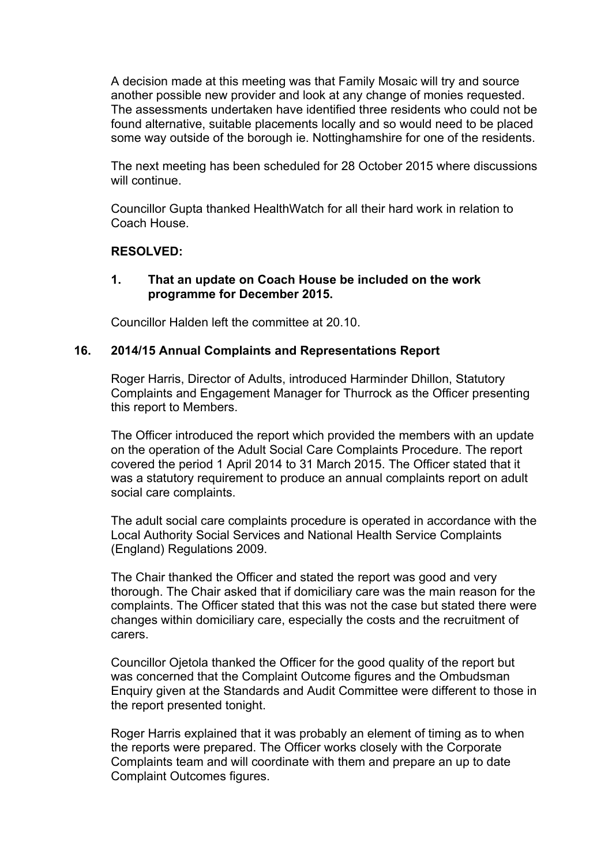A decision made at this meeting was that Family Mosaic will try and source another possible new provider and look at any change of monies requested. The assessments undertaken have identified three residents who could not be found alternative, suitable placements locally and so would need to be placed some way outside of the borough ie. Nottinghamshire for one of the residents.

The next meeting has been scheduled for 28 October 2015 where discussions will continue.

Councillor Gupta thanked HealthWatch for all their hard work in relation to Coach House.

## **RESOLVED:**

#### **1. That an update on Coach House be included on the work programme for December 2015.**

Councillor Halden left the committee at 20.10.

## **16. 2014/15 Annual Complaints and Representations Report**

Roger Harris, Director of Adults, introduced Harminder Dhillon, Statutory Complaints and Engagement Manager for Thurrock as the Officer presenting this report to Members.

The Officer introduced the report which provided the members with an update on the operation of the Adult Social Care Complaints Procedure. The report covered the period 1 April 2014 to 31 March 2015. The Officer stated that it was a statutory requirement to produce an annual complaints report on adult social care complaints.

The adult social care complaints procedure is operated in accordance with the Local Authority Social Services and National Health Service Complaints (England) Regulations 2009.

The Chair thanked the Officer and stated the report was good and very thorough. The Chair asked that if domiciliary care was the main reason for the complaints. The Officer stated that this was not the case but stated there were changes within domiciliary care, especially the costs and the recruitment of carers.

Councillor Ojetola thanked the Officer for the good quality of the report but was concerned that the Complaint Outcome figures and the Ombudsman Enquiry given at the Standards and Audit Committee were different to those in the report presented tonight.

Roger Harris explained that it was probably an element of timing as to when the reports were prepared. The Officer works closely with the Corporate Complaints team and will coordinate with them and prepare an up to date Complaint Outcomes figures.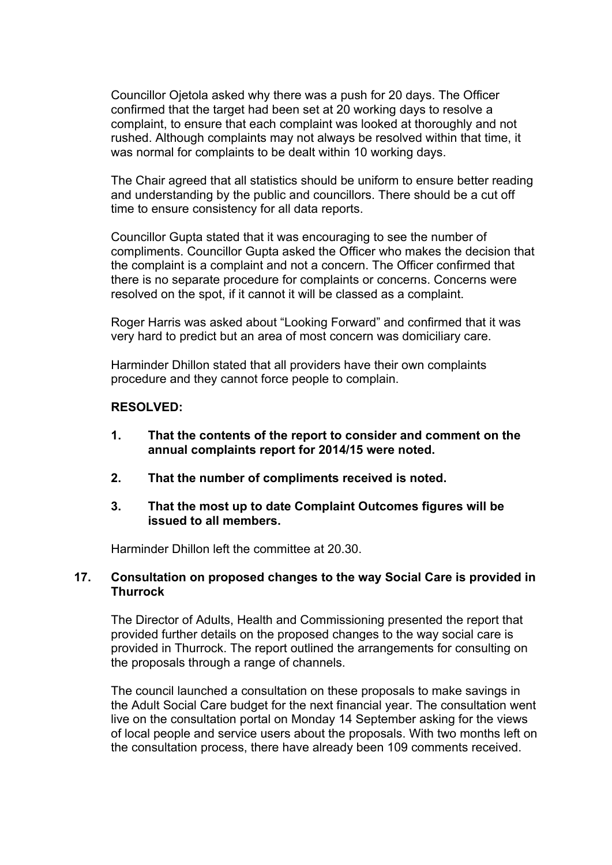Councillor Ojetola asked why there was a push for 20 days. The Officer confirmed that the target had been set at 20 working days to resolve a complaint, to ensure that each complaint was looked at thoroughly and not rushed. Although complaints may not always be resolved within that time, it was normal for complaints to be dealt within 10 working days.

The Chair agreed that all statistics should be uniform to ensure better reading and understanding by the public and councillors. There should be a cut off time to ensure consistency for all data reports.

Councillor Gupta stated that it was encouraging to see the number of compliments. Councillor Gupta asked the Officer who makes the decision that the complaint is a complaint and not a concern. The Officer confirmed that there is no separate procedure for complaints or concerns. Concerns were resolved on the spot, if it cannot it will be classed as a complaint.

Roger Harris was asked about "Looking Forward" and confirmed that it was very hard to predict but an area of most concern was domiciliary care.

Harminder Dhillon stated that all providers have their own complaints procedure and they cannot force people to complain.

#### **RESOLVED:**

- **1. That the contents of the report to consider and comment on the annual complaints report for 2014/15 were noted.**
- **2. That the number of compliments received is noted.**
- **3. That the most up to date Complaint Outcomes figures will be issued to all members.**

Harminder Dhillon left the committee at 20.30.

#### **17. Consultation on proposed changes to the way Social Care is provided in Thurrock**

The Director of Adults, Health and Commissioning presented the report that provided further details on the proposed changes to the way social care is provided in Thurrock. The report outlined the arrangements for consulting on the proposals through a range of channels.

The council launched a consultation on these proposals to make savings in the Adult Social Care budget for the next financial year. The consultation went live on the consultation portal on Monday 14 September asking for the views of local people and service users about the proposals. With two months left on the consultation process, there have already been 109 comments received.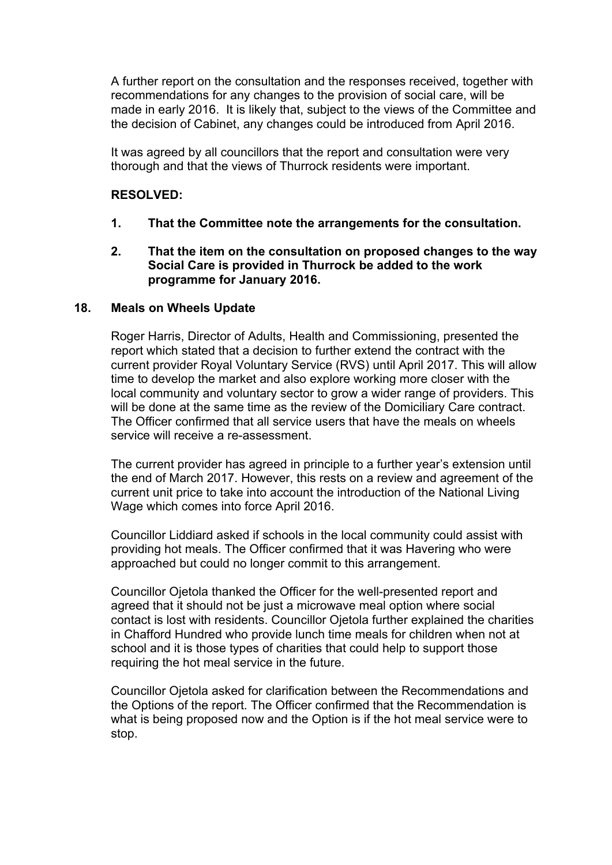A further report on the consultation and the responses received, together with recommendations for any changes to the provision of social care, will be made in early 2016. It is likely that, subject to the views of the Committee and the decision of Cabinet, any changes could be introduced from April 2016.

It was agreed by all councillors that the report and consultation were very thorough and that the views of Thurrock residents were important.

#### **RESOLVED:**

- **1. That the Committee note the arrangements for the consultation.**
- **2. That the item on the consultation on proposed changes to the way Social Care is provided in Thurrock be added to the work programme for January 2016.**

#### **18. Meals on Wheels Update**

Roger Harris, Director of Adults, Health and Commissioning, presented the report which stated that a decision to further extend the contract with the current provider Royal Voluntary Service (RVS) until April 2017. This will allow time to develop the market and also explore working more closer with the local community and voluntary sector to grow a wider range of providers. This will be done at the same time as the review of the Domiciliary Care contract. The Officer confirmed that all service users that have the meals on wheels service will receive a re-assessment.

The current provider has agreed in principle to a further year's extension until the end of March 2017. However, this rests on a review and agreement of the current unit price to take into account the introduction of the National Living Wage which comes into force April 2016.

Councillor Liddiard asked if schools in the local community could assist with providing hot meals. The Officer confirmed that it was Havering who were approached but could no longer commit to this arrangement.

Councillor Ojetola thanked the Officer for the well-presented report and agreed that it should not be just a microwave meal option where social contact is lost with residents. Councillor Ojetola further explained the charities in Chafford Hundred who provide lunch time meals for children when not at school and it is those types of charities that could help to support those requiring the hot meal service in the future.

Councillor Ojetola asked for clarification between the Recommendations and the Options of the report. The Officer confirmed that the Recommendation is what is being proposed now and the Option is if the hot meal service were to stop.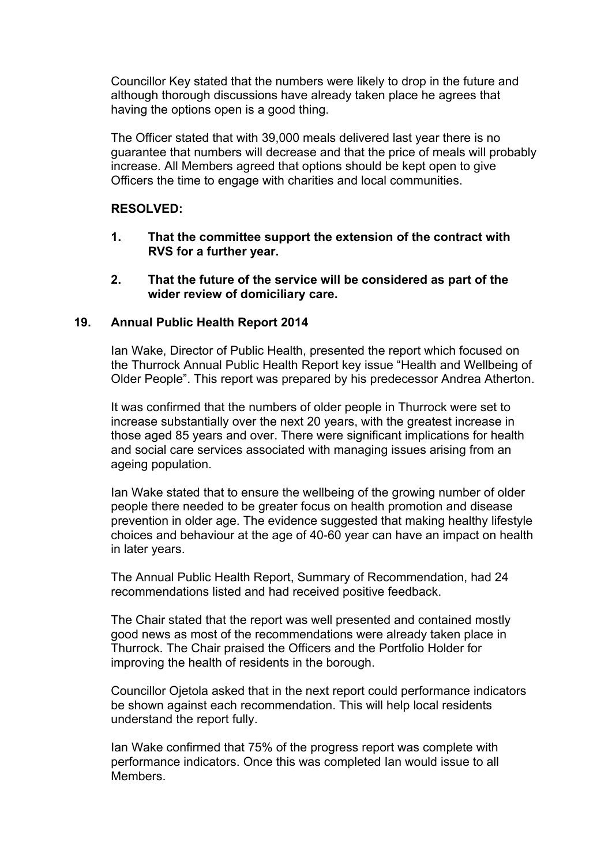Councillor Key stated that the numbers were likely to drop in the future and although thorough discussions have already taken place he agrees that having the options open is a good thing.

The Officer stated that with 39,000 meals delivered last year there is no guarantee that numbers will decrease and that the price of meals will probably increase. All Members agreed that options should be kept open to give Officers the time to engage with charities and local communities.

## **RESOLVED:**

- **1. That the committee support the extension of the contract with RVS for a further year.**
- **2. That the future of the service will be considered as part of the wider review of domiciliary care.**

## **19. Annual Public Health Report 2014**

Ian Wake, Director of Public Health, presented the report which focused on the Thurrock Annual Public Health Report key issue "Health and Wellbeing of Older People". This report was prepared by his predecessor Andrea Atherton.

It was confirmed that the numbers of older people in Thurrock were set to increase substantially over the next 20 years, with the greatest increase in those aged 85 years and over. There were significant implications for health and social care services associated with managing issues arising from an ageing population.

Ian Wake stated that to ensure the wellbeing of the growing number of older people there needed to be greater focus on health promotion and disease prevention in older age. The evidence suggested that making healthy lifestyle choices and behaviour at the age of 40-60 year can have an impact on health in later years.

The Annual Public Health Report, Summary of Recommendation, had 24 recommendations listed and had received positive feedback.

The Chair stated that the report was well presented and contained mostly good news as most of the recommendations were already taken place in Thurrock. The Chair praised the Officers and the Portfolio Holder for improving the health of residents in the borough.

Councillor Ojetola asked that in the next report could performance indicators be shown against each recommendation. This will help local residents understand the report fully.

Ian Wake confirmed that 75% of the progress report was complete with performance indicators. Once this was completed Ian would issue to all **Members**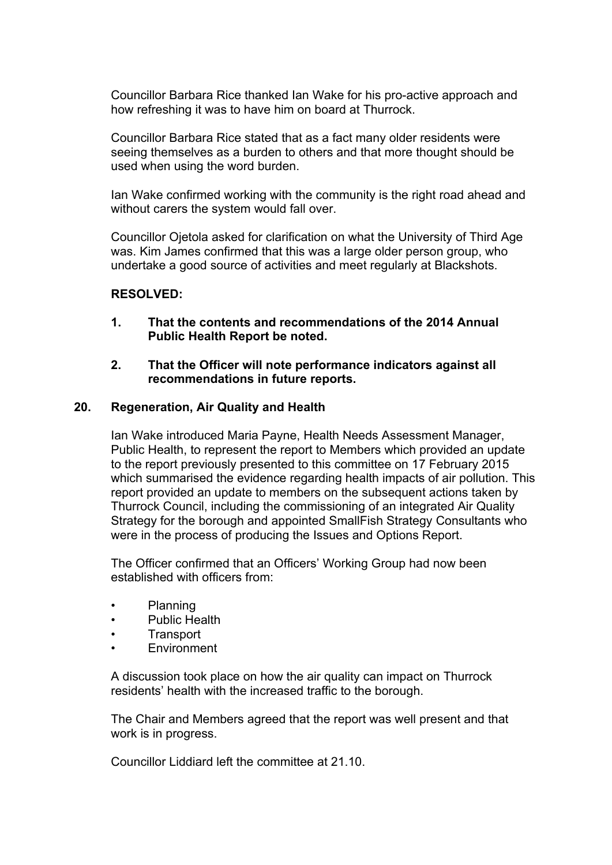Councillor Barbara Rice thanked Ian Wake for his pro-active approach and how refreshing it was to have him on board at Thurrock.

Councillor Barbara Rice stated that as a fact many older residents were seeing themselves as a burden to others and that more thought should be used when using the word burden.

Ian Wake confirmed working with the community is the right road ahead and without carers the system would fall over.

Councillor Ojetola asked for clarification on what the University of Third Age was. Kim James confirmed that this was a large older person group, who undertake a good source of activities and meet regularly at Blackshots.

## **RESOLVED:**

- **1. That the contents and recommendations of the 2014 Annual Public Health Report be noted.**
- **2. That the Officer will note performance indicators against all recommendations in future reports.**

#### **20. Regeneration, Air Quality and Health**

Ian Wake introduced Maria Payne, Health Needs Assessment Manager, Public Health, to represent the report to Members which provided an update to the report previously presented to this committee on 17 February 2015 which summarised the evidence regarding health impacts of air pollution. This report provided an update to members on the subsequent actions taken by Thurrock Council, including the commissioning of an integrated Air Quality Strategy for the borough and appointed SmallFish Strategy Consultants who were in the process of producing the Issues and Options Report.

The Officer confirmed that an Officers' Working Group had now been established with officers from:

- Planning
- Public Health
- **Transport**
- Environment

A discussion took place on how the air quality can impact on Thurrock residents' health with the increased traffic to the borough.

The Chair and Members agreed that the report was well present and that work is in progress.

Councillor Liddiard left the committee at 21.10.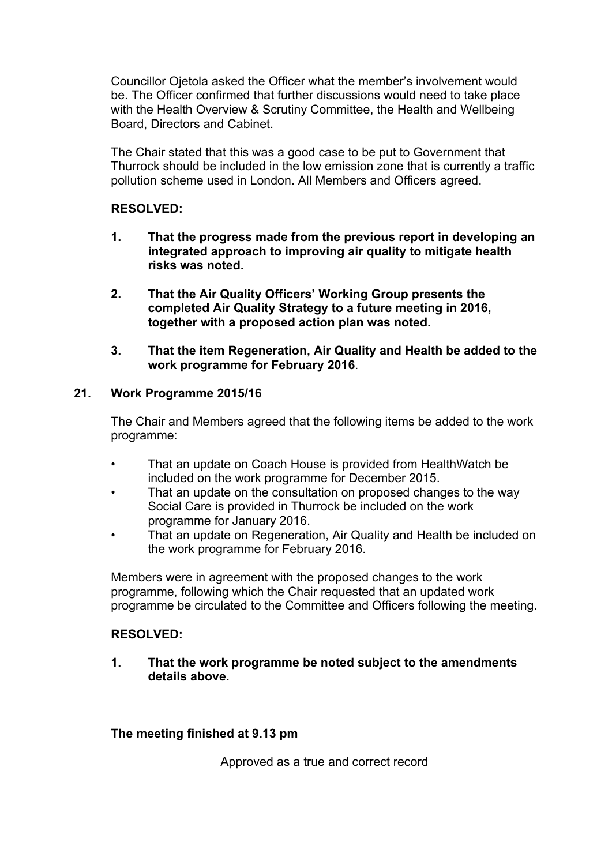Councillor Ojetola asked the Officer what the member's involvement would be. The Officer confirmed that further discussions would need to take place with the Health Overview & Scrutiny Committee, the Health and Wellbeing Board, Directors and Cabinet.

The Chair stated that this was a good case to be put to Government that Thurrock should be included in the low emission zone that is currently a traffic pollution scheme used in London. All Members and Officers agreed.

## **RESOLVED:**

- **1. That the progress made from the previous report in developing an integrated approach to improving air quality to mitigate health risks was noted.**
- **2. That the Air Quality Officers' Working Group presents the completed Air Quality Strategy to a future meeting in 2016, together with a proposed action plan was noted.**
- **3. That the item Regeneration, Air Quality and Health be added to the work programme for February 2016**.

## **21. Work Programme 2015/16**

The Chair and Members agreed that the following items be added to the work programme:

- That an update on Coach House is provided from HealthWatch be included on the work programme for December 2015.
- That an update on the consultation on proposed changes to the way Social Care is provided in Thurrock be included on the work programme for January 2016.
- That an update on Regeneration, Air Quality and Health be included on the work programme for February 2016.

Members were in agreement with the proposed changes to the work programme, following which the Chair requested that an updated work programme be circulated to the Committee and Officers following the meeting.

## **RESOLVED:**

**1. That the work programme be noted subject to the amendments details above.**

**The meeting finished at 9.13 pm**

Approved as a true and correct record